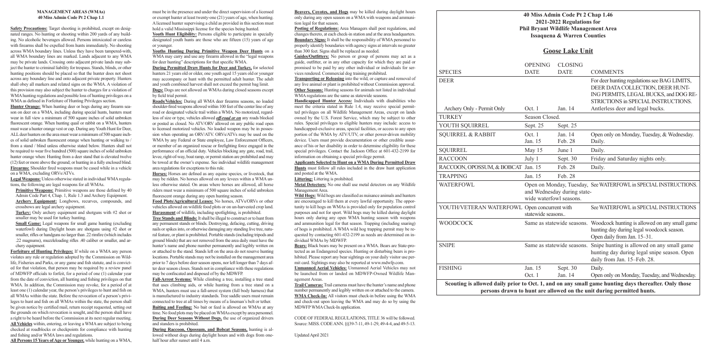### **40 Miss Admin Code Pt 2 Chap 1.46 2021-2022 Regulations for Phil Bryant Wildlife Management Area Issaquena & Warren Counties**

|                                                                                                                         |                                                                                          | 2021-2022 Regulations for<br><b>Phil Bryant Wildlife Management</b><br><b>Issaquena &amp; Warren Counties</b> |                                               |
|-------------------------------------------------------------------------------------------------------------------------|------------------------------------------------------------------------------------------|---------------------------------------------------------------------------------------------------------------|-----------------------------------------------|
|                                                                                                                         | <b>Goose Lake Unit</b>                                                                   |                                                                                                               |                                               |
| <b>SPECIES</b>                                                                                                          | <b>OPENING</b><br><b>DATE</b>                                                            | <b>CLOSING</b><br><b>DATE</b>                                                                                 | <b>COM</b>                                    |
| <b>DEER</b>                                                                                                             |                                                                                          |                                                                                                               | For de<br><b>DEER</b><br>INGP<br><b>STRIC</b> |
| Archery Only - Permit Only                                                                                              | Oct. 1                                                                                   | Jan. 14                                                                                                       | Antlei                                        |
| <b>TURKEY</b>                                                                                                           | Season Closed.                                                                           |                                                                                                               |                                               |
| YOUTH SQUIRREL                                                                                                          | Sept. 25                                                                                 | Sept. 25                                                                                                      |                                               |
| <b>SQUIRREL &amp; RABBIT</b>                                                                                            | Oct. 1<br>Jan. 15                                                                        | Jan. 14<br>Feb. 28                                                                                            | Open<br>Daily.                                |
| <b>SQUIRREL</b>                                                                                                         | May 15                                                                                   | June 1                                                                                                        | Daily.                                        |
| <b>RACCOON</b>                                                                                                          | July 1                                                                                   | Sept. 30                                                                                                      | Friday                                        |
| RACCOON, OPOSSUM, & BOBCAT Jan. 15                                                                                      |                                                                                          | Feb. 28                                                                                                       | Daily.                                        |
| <b>TRAPPING</b>                                                                                                         | Jan. 15                                                                                  | Feb. 28                                                                                                       |                                               |
| WATERFOWL                                                                                                               | Open on Monday, Tuesday, See W<br>and Wednesday during state-<br>wide waterfowl seasons. |                                                                                                               |                                               |
| YOUTH/VETERAN WATERFOWL Open concurrent with                                                                            | statewide seasons                                                                        |                                                                                                               | See W                                         |
| <b>WOODCOCK</b>                                                                                                         | Same as statewide seasons. Woode                                                         |                                                                                                               | huntin<br>Open                                |
| <b>SNIPE</b>                                                                                                            | Same as statewide seasons.                                                               |                                                                                                               | Snipe<br>huntin<br>daily i                    |
| <b>FISHING</b>                                                                                                          | Jan. 15<br>Oct. 1                                                                        | Sept. 30<br>Jan. 14                                                                                           | Daily.<br>Open o                              |
| Scouting is allowed daily prior to Oct. 1, and on any small game I<br>persons drawn to hunt are allowed on the unit dur |                                                                                          |                                                                                                               |                                               |

## **Goose Lake Unit**

| <b>SPECIES</b>                                                                                                                                                                | <b>OPENING</b><br><b>DATE</b>                          | <b>CLOSING</b><br><b>DATE</b> | <b>COMMENTS</b>                                                                                                                                                  |  |  |  |
|-------------------------------------------------------------------------------------------------------------------------------------------------------------------------------|--------------------------------------------------------|-------------------------------|------------------------------------------------------------------------------------------------------------------------------------------------------------------|--|--|--|
| DEER                                                                                                                                                                          |                                                        |                               | For deer hunting regulations see BAG LIMITS,<br>DEER DATA COLLECTION, DEER HUNT-<br>ING PERMITS, LEGAL BUCKS, and DOG RE-<br>STRICTIONS in SPECIAL INSTRUCTIONS. |  |  |  |
| Archery Only - Permit Only                                                                                                                                                    | Oct. 1                                                 | Jan. 14                       | Antlerless deer and legal bucks.                                                                                                                                 |  |  |  |
| TURKEY                                                                                                                                                                        | Season Closed.                                         |                               |                                                                                                                                                                  |  |  |  |
| YOUTH SQUIRREL                                                                                                                                                                | Sept. 25                                               | Sept. 25                      |                                                                                                                                                                  |  |  |  |
| <b>SQUIRREL &amp; RABBIT</b>                                                                                                                                                  | Oct. 1<br>Jan. 15                                      | Jan. 14<br>Feb. 28            | Open only on Monday, Tuesday, & Wednesday.<br>Daily.                                                                                                             |  |  |  |
| <b>SQUIRREL</b>                                                                                                                                                               | May 15                                                 | June 1                        | Daily.                                                                                                                                                           |  |  |  |
| <b>RACCOON</b>                                                                                                                                                                | July 1                                                 | Sept. 30                      | Friday and Saturday nights only.                                                                                                                                 |  |  |  |
| RACCOON, OPOSSUM, & BOBCAT Jan. 15                                                                                                                                            |                                                        | Feb. 28                       | Daily.                                                                                                                                                           |  |  |  |
| <b>TRAPPING</b>                                                                                                                                                               | Jan. 15                                                | Feb. 28                       |                                                                                                                                                                  |  |  |  |
| WATERFOWL                                                                                                                                                                     | and Wednesday during state-<br>wide waterfowl seasons. |                               | Open on Monday, Tuesday, See WATERFOWL in SPECIAL INSTRUCTIONS.                                                                                                  |  |  |  |
| YOUTH/VETERAN WATERFOWL Open concurrent with                                                                                                                                  | statewide seasons                                      |                               | See WATERFOWL in SPECIAL INSTRUCTIONS                                                                                                                            |  |  |  |
| WOODCOCK                                                                                                                                                                      |                                                        |                               | Same as statewide seasons. Woodcock hunting is allowed on any small game<br>hunting day during legal woodcock season.<br>Open daily from Jan. 15-31.             |  |  |  |
| <b>SNIPE</b>                                                                                                                                                                  |                                                        |                               | Same as statewide seasons. Snipe hunting is allowed on any small game<br>hunting day during legal snipe season. Open<br>daily from Jan. 15-Feb. 28.              |  |  |  |
| FISHING                                                                                                                                                                       | Jan. 15<br>Oct. 1                                      | Sept. 30<br>Jan. 14           | Daily.<br>Open only on Monday, Tuesday, and Wednesday.                                                                                                           |  |  |  |
| Scouting is allowed daily prior to Oct. 1, and on any small game hunting days thereafter. Only those<br>persons drawn to hunt are allowed on the unit during permitted hunts. |                                                        |                               |                                                                                                                                                                  |  |  |  |

#### **MANAGEMENT AREAS (WMAs) 40 Miss Admin Code Pt 2 Chap 1.1**

**Primitive Weapons:** Primitive weapons are those defined by 40 Admin Code Part 4, Chap. 1, Rule 1.3 and Archery Equipment. **Archery Equipment:** Longbows, recurves, compounds, and crossbows are legal archery equipment.

**Small Game:** Legal weapons for small game hunting (excluding waterfowl) during Daylight hours are shotguns using #2 shot or smaller, rifles or handguns no larger than .22 rimfire (which includes .22 magnums), muzzleloading rifles .40 caliber or smaller, and archery equipment.

**Safety Precautions:** Target shooting is prohibited, except on designated ranges. No hunting or shooting within 200 yards of any building. No alcoholic beverages allowed. Persons intoxicated or careless with firearms shall be expelled from hunts immediately. No shooting across WMA boundary lines. Unless they have been tampered-with, all WMA boundary lines are marked. Lands adjacent to any WMA may be private lands. Crossing onto adjacent private lands may subject the hunter to criminal liability for trespass. Stands, blinds, or other hunting positions should be placed so that the hunter does not shoot across any boundary line and onto adjacent private property. Hunters shall obey all markers and related signs on the WMA. A violation of this provision may also subject the hunter to charges for a violation of WMA hunting regulations and possible loss of hunting privileges on a WMA as defined in Forfeiture of Hunting Privileges section.

Youth Hunt Eligibility: Persons eligible to participate in specially designated youth hunts are those who are fifteen (15) years of age or younger.

**Hunter Orange:** When hunting deer or hogs during any firearm season on deer on a WMA, including during special hunts, hunters must wear in full view a minimum of 500 square inches of solid unbroken fluorescent orange. When hunting quail or rabbit on a WMA, hunters must wear a hunter orange vest or cap. During any Youth Hunt for Deer, ALL deer hunters on the area must wear a minimum of 500 square inches of solid unbroken fluorescent orange when hunting or walking to / from a stand / blind unless otherwise stated below. Hunters shall not be required to wear five hundred (500) square inches of solid unbroken hunter orange when: Hunting from a deer stand that is elevated twelve (12) feet or more above the ground; or hunting in a fully enclosed blind. **Firearms:** Shoulder fired weapons must be cased while in a vehicle on a WMA, excluding ORVs/ATVs.

**Legal Weapons:** Unless otherwise stated in individual WMA regulations, the following are legal weapons for all WMAs.

**Turkey:** Only archery equipment and shotguns with #2 shot or smaller may be used for turkey hunting.

> **During Raccoon, Opossum, and Bobcat Seasons,** hunting is allowed without dogs during daylight hours and with dogs from onehalf hour after sunset until 4 a.m.

**Forfeiture of Hunting Privileges:** If while on a WMA any person violates any rule or regulation adopted by the Commission on Wildlife, Fisheries and Parks, or any game and fish statute, and is convicted for that violation, that person may be required by a review panel of MDWFP officials to forfeit, for a period of one (1) calendar year from the date of conviction, all hunting and fishing privileges on that WMA. In addition, the Commission may revoke, for a period of at least one (1) calendar year, the person's privileges to hunt and fish on all WMAs within the state. Before the revocation of a person's privileges to hunt and fish on all WMAs within the state, the person shall be given notice by certified mail, return receipt requested, setting out the grounds on which revocation is sought, and the person shall have a right to be heard before the Commission at its next regular meeting. **All Vehicles** within, entering, or leaving a WMA are subject to being checked at roadblocks or checkpoints for compliance with hunting and fishing and/or WMA laws and regulations.

**All Persons 15 Years of Age or Younger,** while hunting on a WMA,

must be in the presence and under the direct supervision of a licensed or exempt hunter at least twenty-one (21) years of age, when hunting. A licensed hunter supervising a child as provided in this section must hold a valid Mississippi license for the species being hunted.

**Youths Hunting During Primitive Weapon Deer Hunts** on a WMA may carry and use any firearm allowed in the "legal weapons for deer hunting" descriptions for that specific WMA.

**During Permitted Draw Hunts for Deer and Turkey,** for selected hunters 21 years old or older, one youth aged 15 years old or younger may accompany or hunt with the permitted adult hunter. The adult and youth combined harvest shall not exceed the permit bag limit. **Dogs:** Dogs are not allowed on WMAs during closed seasons except by field trial permit.

**Roads/Vehicles:** During all WMA deer firearms seasons, no loaded shoulder-fired weapons allowed within 100 feet of the center line of any road or designated vehicle trail within a WMA. No motorized, regardless of size or type, vehicles allowed *off-road or on* any roads blocked or posted as closed. No ATV/ORV allowed on any public road open to licensed motorized vehicles. No loaded weapon may be in possession when operating an ORV/ATV. ORVs/ATVs may be used on the WMA by any Federal or State employee, Law Enforcement Officers, or member of an organized rescue or firefighting force engaged in the performance of an official duty. Vehicles blocking any gate, road, trail, levee, right-of-way, boat ramp, or permit station are prohibited and may be towed at the owner's expense. See individual wildlife management area regulations for exceptions to this rule.

**Horses:** Horses are defined as any equine species, or livestock, that may be ridden. No horses allowed on any levees within a WMA unless otherwise stated. On areas where horses are allowed, all horse riders must wear a minimum of 500 square inches of solid unbroken fluorescent orange during any open hunting season.

**Food Plots/Agricultural Leases:** No horses, ATVs/ORVs or other vehicles allowed on wildlife food plots or on un-harvested crop land. **Harassment** of wildlife, including spotlighting, is prohibited.

**Tree Stands and Blinds:** It shall be illegal to construct or to hunt from any permanent stands or blinds. Destroying, defacing, cutting, driving nails or spikes into, or otherwise damaging any standing live tree, natural feature, or plant is prohibited. Portable stands (including tripods and ground blinds) that are not removed from the area daily must have the hunter's name and phone number permanently and legibly written on or attached to the stand. Stands left on the area do not reserve hunting locations. Portable stands may not be installed on the management area prior to 7 days before deer season opens, nor left longer than 7 days after deer season closes. Stands not in compliance with these regulations may be confiscated and disposed of by the MDWFP.

**Fall-Arrest Systems:** While climbing a tree, installing a tree stand that uses climbing aids, or while hunting from a tree stand on a WMA, hunters must use a fall-arrest system (full body harness) that is manufactured to industry standards. Tree saddle users must remain connected to tree at all times by means of a lineman's belt or tether. **Baiting and Feeding:** No bait or feed is allowed on WMAs at any time. No food plots may be placed on WMAs except by area personnel. **During Deer Seasons Without Dogs,** the use of organized drivers and standers is prohibited.

**Beavers, Coyotes, and Hogs** may be killed during daylight hours only during any open season on a WMA with weapons and ammunition legal for that season.

**Posting of Regulations:** Area Managers shall post regulations, and changes thereto, at each check-in station and at the area headquarters. **Boundary Signs:** It shall be the responsibility of WMA personnel to properly identify boundaries with agency signs at intervals no greater than 300 feet. Signs shall be replaced as needed.

**Guides/Outfitters:** No person or group of persons may act as a guide, outfitter, or in any other capacity for which they are paid or promised to be paid by any other individual or individuals for services rendered. Commercial dog training prohibited.

**Transporting or Releasing** into the wild, or capture and removal of any live animal or plant is prohibited without Commission approval. **Other Seasons:** Hunting seasons for animals not listed in individual WMA regulations are the same as statewide seasons.

**Handicapped Hunter Access:** Individuals with disabilities who meet the criteria stated in Rule 1.4, may receive special permitted privileges on all Wildlife Management Areas, except on lands owned by the U.S. Forest Service, which may be subject to other rules. Special privileges to eligible hunters may include: access to handicapped-exclusive areas, special facilities, or access to any open portion of the WMA by ATV/UTV, or other power-driven mobility device. Users must provide documentation or other credible assurance of his or her disability in order to determine eligibility for these special privileges. Contact the Jackson Office at 601-432-2199 for information on obtaining a special privilege permit.

#### **Applicants Selected to Hunt on a WMA During Permitted Draw**

**Hunts** must follow all rules included in the draw hunt application and posted at the WMA.

**Littering:** Littering is prohibited.

**Metal Detectors:** No one shall use metal detectors on any Wildlife Management Area.

**Wild Hogs:** Wild hogs are classified as nuisance animals and hunters are encouraged to kill them at every lawful opportunity. The opportunity to kill hogs on WMAs is provided only for population control purposes and not for sport. Wild hogs may be killed during daylight hours only during any open WMA hunting season with weapons and ammunition legal for that season. Trapping (including snaring) of hogs is prohibited. A WMA wild hog trapping permit may be requested by contacting 601-432-2199 as needs are determined on individual WMAs by MDWFP.

**Bears:** Black bears may be present on a WMA. Bears are State-protected as an Endangered species. Hunting or disturbing bears is prohibited. Please report any bear sightings on your daily visitor use permit card. Sightings may also be reported at www.mdwfp.com.

**Unmanned Aerial Vehicles:** Unmanned Aerial Vehicles may not be launched from or landed on MDWFP-Owned Wildlife Management Areas.

**Trail Cameras:** Trail cameras must have the hunter's name and phone number permanently and legibly written on or attached to the camera. **WMA Check-In:** All visitors must check-in before using the WMA and check-out upon leaving the WMA and may do so by using the MDWFP WMA Check-In application.

CODE OF FEDERAL REGULATIONS, TITLE 36 will be followed. Source: MISS. CODE ANN. §§39-7-11, 49-1-29, 49-4-4, and 49-5-13.

Updated April 2021